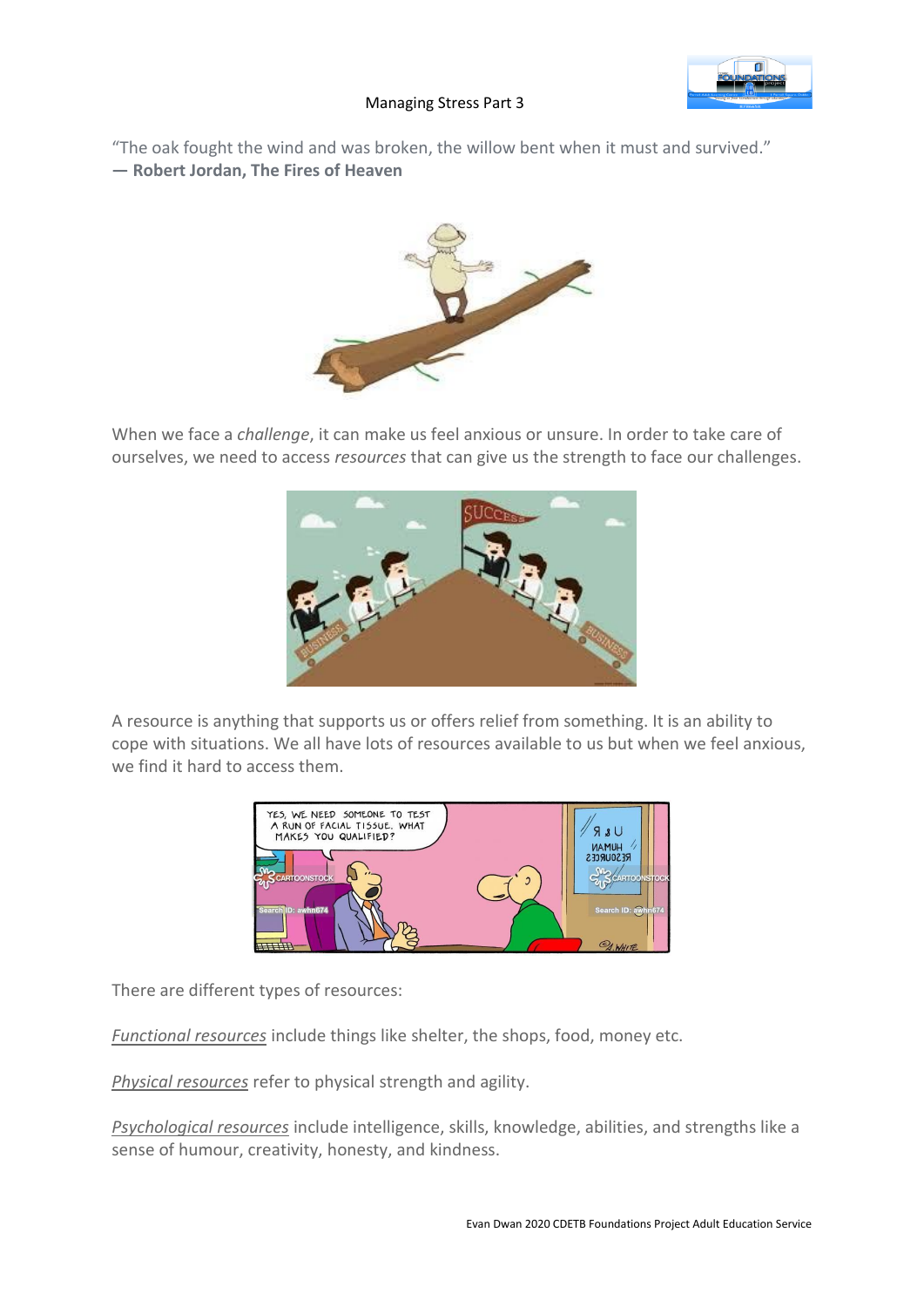

## Managing Stress Part 3

"The oak fought the wind and was broken, the willow bent when it must and survived." **― Robert Jordan, The Fires of Heaven**



When we face a *challenge*, it can make us feel anxious or unsure. In order to take care of ourselves, we need to access *resources* that can give us the strength to face our challenges.



A resource is anything that supports us or offers relief from something. It is an ability to cope with situations. We all have lots of resources available to us but when we feel anxious, we find it hard to access them.



There are different types of resources:

*Functional resources* include things like shelter, the shops, food, money etc.

*Physical resources* refer to physical strength and agility.

*Psychological resources* include intelligence, skills, knowledge, abilities, and strengths like a sense of humour, creativity, honesty, and kindness.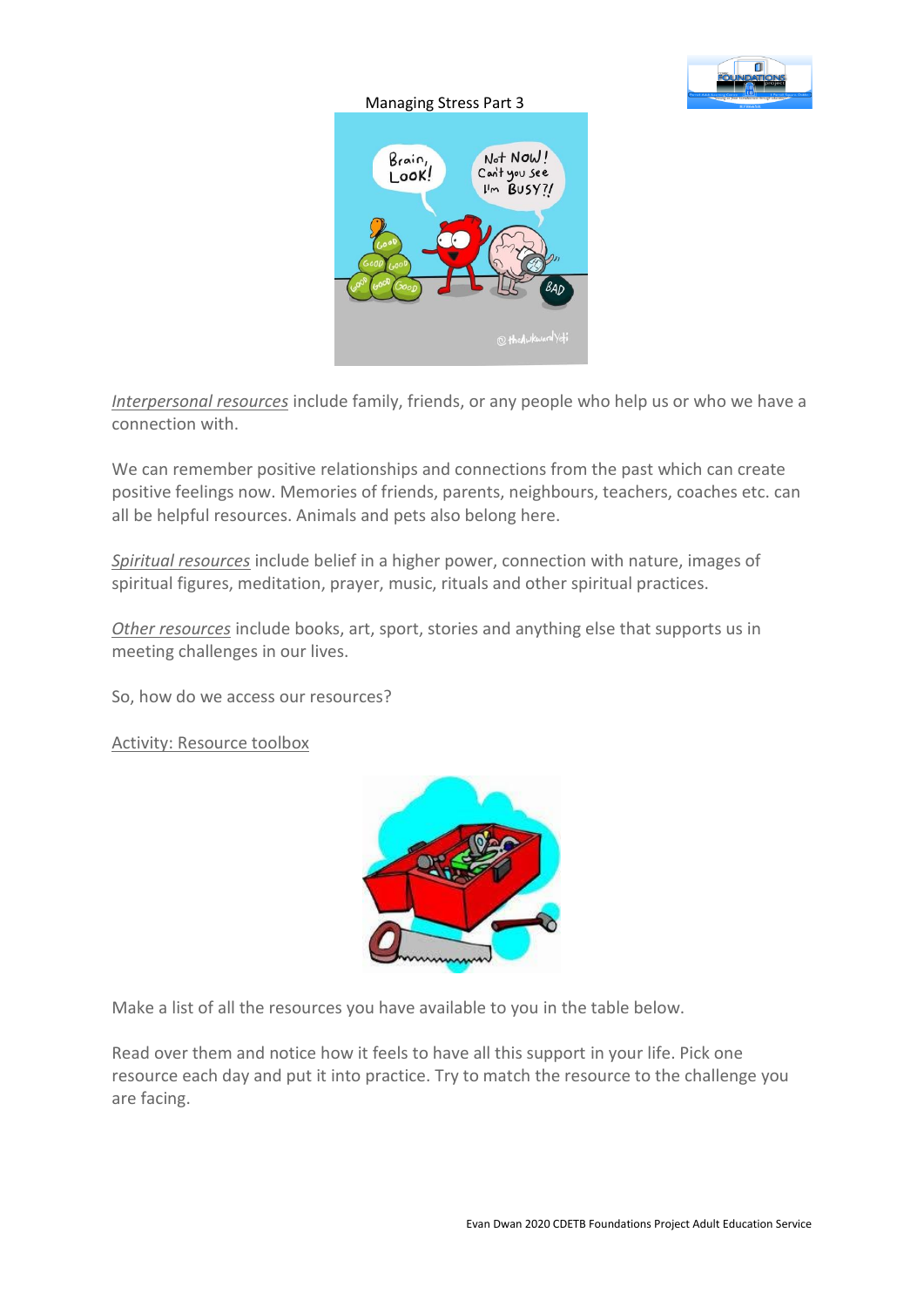

## Managing Stress Part 3



*Interpersonal resources* include family, friends, or any people who help us or who we have a connection with.

We can remember positive relationships and connections from the past which can create positive feelings now. Memories of friends, parents, neighbours, teachers, coaches etc. can all be helpful resources. Animals and pets also belong here.

*Spiritual resources* include belief in a higher power, connection with nature, images of spiritual figures, meditation, prayer, music, rituals and other spiritual practices.

*Other resources* include books, art, sport, stories and anything else that supports us in meeting challenges in our lives.

So, how do we access our resources?

Activity: Resource toolbox



Make a list of all the resources you have available to you in the table below.

Read over them and notice how it feels to have all this support in your life. Pick one resource each day and put it into practice. Try to match the resource to the challenge you are facing.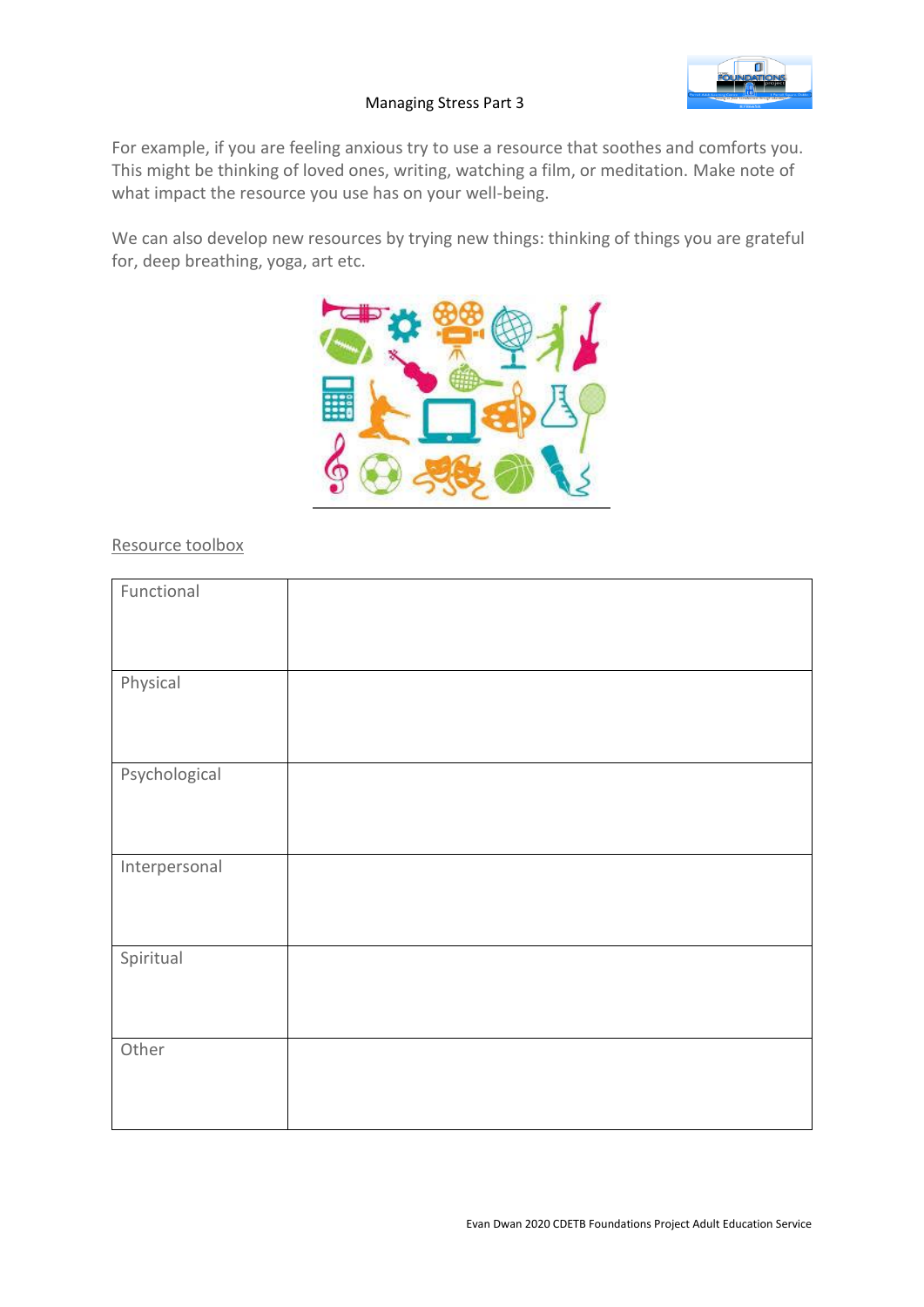

## Managing Stress Part 3

For example, if you are feeling anxious try to use a resource that soothes and comforts you. This might be thinking of loved ones, writing, watching a film, or meditation. Make note of what impact the resource you use has on your well-being.

We can also develop new resources by trying new things: thinking of things you are grateful for, deep breathing, yoga, art etc.



## Resource toolbox

| Functional    |  |
|---------------|--|
|               |  |
|               |  |
|               |  |
| Physical      |  |
|               |  |
|               |  |
|               |  |
| Psychological |  |
|               |  |
|               |  |
|               |  |
| Interpersonal |  |
|               |  |
|               |  |
|               |  |
| Spiritual     |  |
|               |  |
|               |  |
|               |  |
| Other         |  |
|               |  |
|               |  |
|               |  |